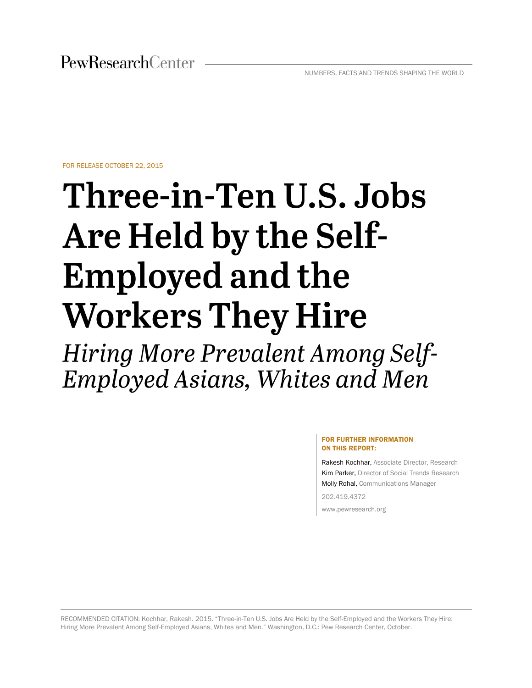FOR RELEASE OCTOBER 22, 2015

# Three-in-Ten U.S. Jobs Are Held by the Self-**Employed and the Workers They Hire**

Hiring More Prevalent Among Self-Employed Asians, Whites and Men

#### FOR FURTHER INFORMATION ON THIS REPORT:

Rakesh Kochhar, Associate Director, Research Kim Parker, Director of Social Trends Research Molly Rohal, Communications Manager

202.419.4372

www.pewresearch.org

<span id="page-0-0"></span>RECOMMENDED CITATION: Kochhar, Rakesh. 2015. "Three-in-Ten U.S. Jobs Are Held by the Self-Employed and the Workers They Hire: Hiring More Prevalent Among Self-Employed Asians, Whites and Men." Washington, D.C.: Pew Research Center, October.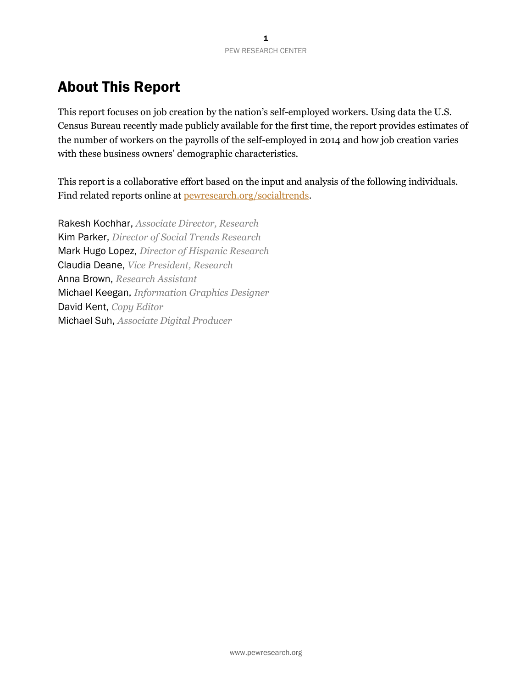# About This Report

This report focuses on job creation by the nation's self-employed workers. Using data the U.S. Census Bureau recently made publicly available for the first time, the report provides estimates of the number of workers on the payrolls of the self-employed in 2014 and how job creation varies with these business owners' demographic characteristics.

This report is a collaborative effort based on the input and analysis of the following individuals. Find related reports online at [pewresearch.org/socialtrends.](http://pewresearch.org/socialtrends)

Rakesh Kochhar, *Associate Director, Research* Kim Parker, *Director of Social Trends Research* Mark Hugo Lopez, *Director of Hispanic Research* Claudia Deane, *Vice President, Research* Anna Brown, *Research Assistant* Michael Keegan, *Information Graphics Designer* David Kent, *Copy Editor* Michael Suh, *Associate Digital Producer*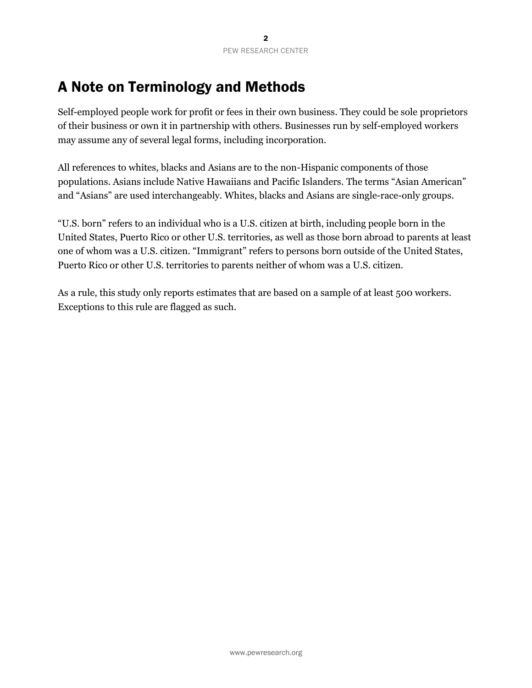# <span id="page-2-0"></span>A Note on Terminology and Methods

Self-employed people work for profit or fees in their own business. They could be sole proprietors of their business or own it in partnership with others. Businesses run by self-employed workers may assume any of several legal forms, including incorporation.

All references to whites, blacks and Asians are to the non-Hispanic components of those populations. Asians include Native Hawaiians and Pacific Islanders. The terms "Asian American" and "Asians" are used interchangeably. Whites, blacks and Asians are single-race-only groups.

"U.S. born" refers to an individual who is a U.S. citizen at birth, including people born in the United States, Puerto Rico or other U.S. territories, as well as those born abroad to parents at least one of whom was a U.S. citizen. "Immigrant" refers to persons born outside of the United States, Puerto Rico or other U.S. territories to parents neither of whom was a U.S. citizen.

As a rule, this study only reports estimates that are based on a sample of at least 500 workers. Exceptions to this rule are flagged as such.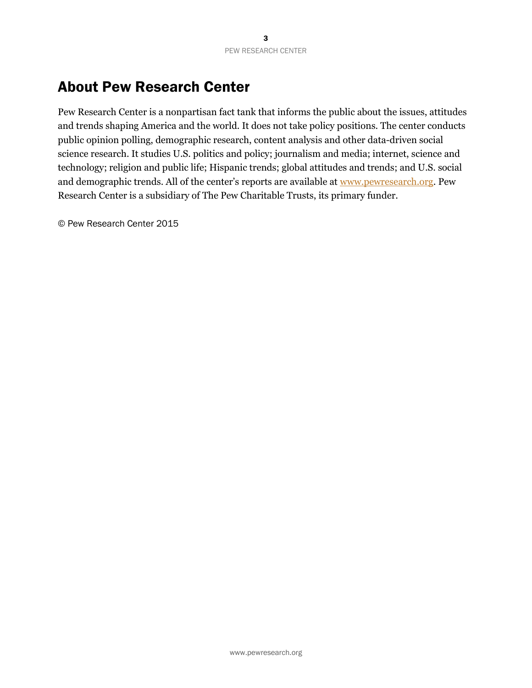# <span id="page-3-0"></span>About Pew Research Center

Pew Research Center is a nonpartisan fact tank that informs the public about the issues, attitudes and trends shaping America and the world. It does not take policy positions. The center conducts public opinion polling, demographic research, content analysis and other data-driven social science research. It studies U.S. politics and policy; journalism and media; internet, science and technology; religion and public life; Hispanic trends; global attitudes and trends; and U.S. social and demographic trends. All of the center's reports are available at [www.pewresearch.org.](http://www.pewresearch.org/) Pew Research Center is a subsidiary of The Pew Charitable Trusts, its primary funder.

© Pew Research Center 2015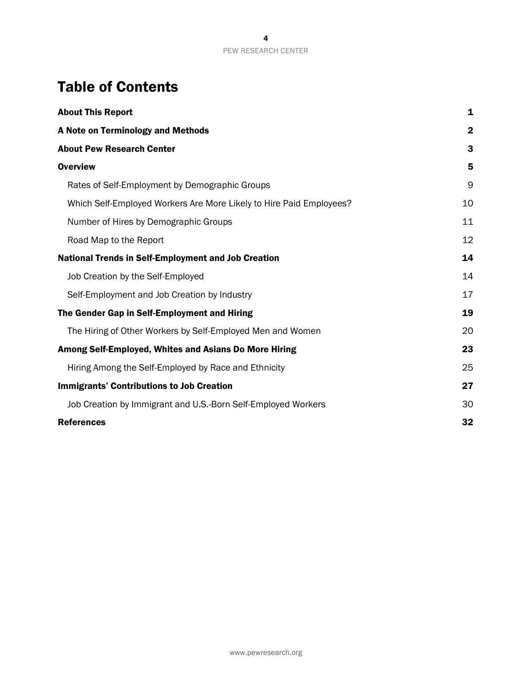# Table of Contents

| <b>About This Report</b>                                            | 1            |
|---------------------------------------------------------------------|--------------|
| A Note on Terminology and Methods                                   | $\mathbf{2}$ |
| <b>About Pew Research Center</b>                                    | 3            |
| <b>Overview</b>                                                     | 5            |
| Rates of Self-Employment by Demographic Groups                      | 9            |
| Which Self-Employed Workers Are More Likely to Hire Paid Employees? | 10           |
| Number of Hires by Demographic Groups                               | 11           |
| Road Map to the Report                                              | 12           |
| <b>National Trends in Self-Employment and Job Creation</b>          | 14           |
| Job Creation by the Self-Employed                                   | 14           |
| Self-Employment and Job Creation by Industry                        | 17           |
| The Gender Gap in Self-Employment and Hiring                        | 19           |
| The Hiring of Other Workers by Self-Employed Men and Women          | 20           |
| Among Self-Employed, Whites and Asians Do More Hiring               | 23           |
| Hiring Among the Self-Employed by Race and Ethnicity                | 25           |
| <b>Immigrants' Contributions to Job Creation</b>                    | 27           |
| Job Creation by Immigrant and U.S.-Born Self-Employed Workers       | 30           |
| <b>References</b>                                                   | 32           |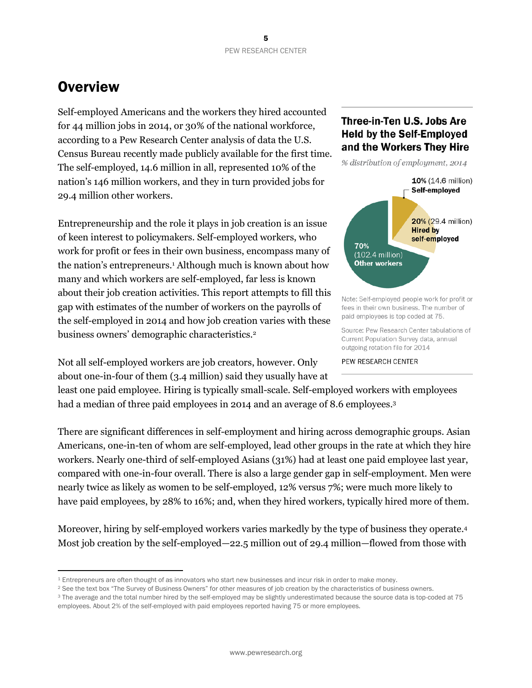# <span id="page-5-0"></span>**Overview**

 $\overline{a}$ 

Self-employed Americans and the workers they hired accounted for 44 million jobs in 2014, or 30% of the national workforce, according to a Pew Research Center analysis of data the U.S. Census Bureau recently made publicly available for the first time. The self-employed, 14.6 million in all, represented 10% of the nation's 146 million workers, and they in turn provided jobs for 29.4 million other workers.

Entrepreneurship and the role it plays in job creation is an issue of keen interest to policymakers. Self-employed workers, who work for profit or fees in their own business, encompass many of the nation's entrepreneurs.<sup>1</sup> Although much is known about how many and which workers are self-employed, far less is known about their job creation activities. This report attempts to fill this gap with estimates of the number of workers on the payrolls of the self-employed in 2014 and how job creation varies with these business owners' demographic characteristics.<sup>2</sup>

Not all self-employed workers are job creators, however. Only about one-in-four of them (3.4 million) said they usually have at

## Three-in-Ten U.S. Jobs Are **Held by the Self-Employed** and the Workers They Hire

% distribution of employment, 2014



Note: Self-employed people work for profit or fees in their own business. The number of paid employees is top coded at 75.

Source: Pew Research Center tabulations of Current Population Survey data, annual outgoing rotation file for 2014

PEW RESEARCH CENTER

least one paid employee. Hiring is typically small-scale. Self-employed workers with employees had a median of three paid employees in 2014 and an average of 8.6 employees. 3

There are significant differences in self-employment and hiring across demographic groups. Asian Americans, one-in-ten of whom are self-employed, lead other groups in the rate at which they hire workers. Nearly one-third of self-employed Asians (31%) had at least one paid employee last year, compared with one-in-four overall. There is also a large gender gap in self-employment. Men were nearly twice as likely as women to be self-employed, 12% versus 7%; were much more likely to have paid employees, by 28% to 16%; and, when they hired workers, typically hired more of them.

Moreover, hiring by self-employed workers varies markedly by the type of business they operate. 4 Most job creation by the self-employed—22.5 million out of 29.4 million—flowed from those with

<sup>1</sup> Entrepreneurs are often thought of as innovators who start new businesses and incur risk in order to make money.

<sup>2</sup> See the text box "The Survey of Business Owners" for other measures of job creation by the characteristics of business owners.

<sup>&</sup>lt;sup>3</sup> The average and the total number hired by the self-employed may be slightly underestimated because the source data is top-coded at 75 employees. About 2% of the self-employed with paid employees reported having 75 or more employees.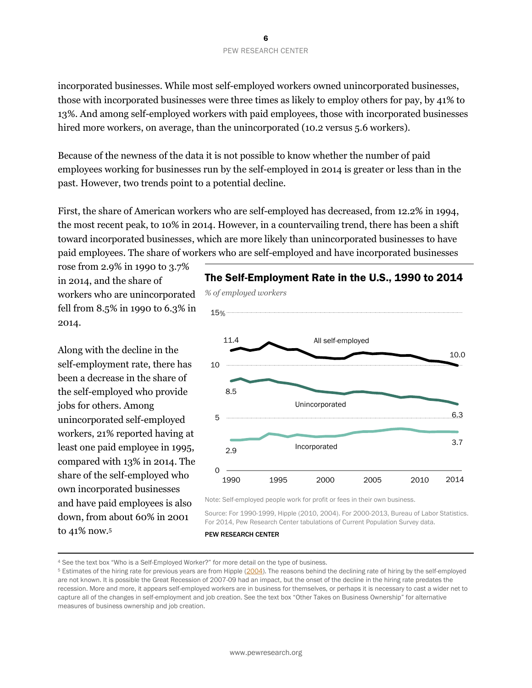incorporated businesses. While most self-employed workers owned unincorporated businesses, those with incorporated businesses were three times as likely to employ others for pay, by 41% to 13%. And among self-employed workers with paid employees, those with incorporated businesses hired more workers, on average, than the unincorporated (10.2 versus 5.6 workers).

Because of the newness of the data it is not possible to know whether the number of paid employees working for businesses run by the self-employed in 2014 is greater or less than in the past. However, two trends point to a potential decline.

First, the share of American workers who are self-employed has decreased, from 12.2% in 1994, the most recent peak, to 10% in 2014. However, in a countervailing trend, there has been a shift toward incorporated businesses, which are more likely than unincorporated businesses to have paid employees. The share of workers who are self-employed and have incorporated businesses

rose from 2.9% in 1990 to 3.7% in 2014, and the share of workers who are unincorporated fell from 8.5% in 1990 to 6.3% in 2014.

Along with the decline in the self-employment rate, there has been a decrease in the share of the self-employed who provide jobs for others. Among unincorporated self-employed workers, 21% reported having at least one paid employee in 1995, compared with 13% in 2014. The share of the self-employed who own incorporated businesses and have paid employees is also down, from about 60% in 2001 to 41% now.<sup>5</sup>

 $\overline{a}$ 



Note: Self-employed people work for profit or fees in their own business.

Source: For 1990-1999, Hipple (2010, 2004). For 2000-2013, Bureau of Labor Statistics. For 2014, Pew Research Center tabulations of Current Population Survey data.

<sup>4</sup> See the text box "Who is a Self-Employed Worker?" for more detail on the type of business.

<sup>&</sup>lt;sup>5</sup> Estimates of the hiring rate for previous years are from Hipple [\(2004\)](http://www.bls.gov/opub/mlr/2004/07/art2full.pdf). The reasons behind the declining rate of hiring by the self-employed are not known. It is possible the Great Recession of 2007-09 had an impact, but the onset of the decline in the hiring rate predates the recession. More and more, it appears self-employed workers are in business for themselves, or perhaps it is necessary to cast a wider net to capture all of the changes in self-employment and job creation. See the text box "Other Takes on Business Ownership" for alternative measures of business ownership and job creation.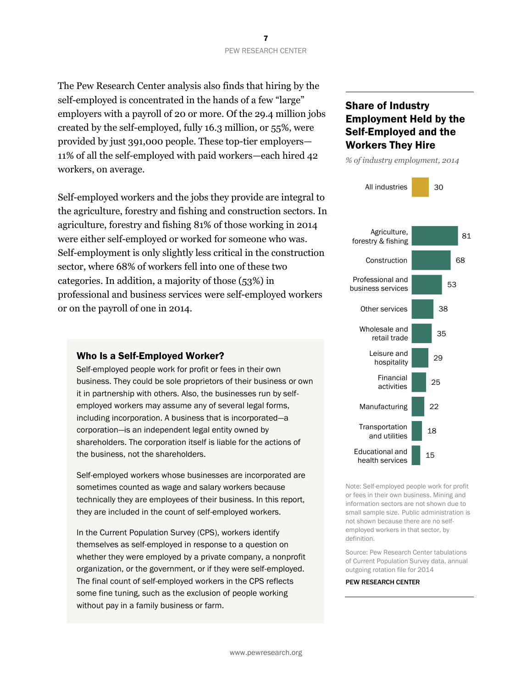The Pew Research Center analysis also finds that hiring by the self-employed is concentrated in the hands of a few "large" employers with a payroll of 20 or more. Of the 29.4 million jobs created by the self-employed, fully 16.3 million, or 55%, were provided by just 391,000 people. These top-tier employers— 11% of all the self-employed with paid workers—each hired 42 workers, on average.

Self-employed workers and the jobs they provide are integral to the agriculture, forestry and fishing and construction sectors. In agriculture, forestry and fishing 81% of those working in 2014 were either self-employed or worked for someone who was. Self-employment is only slightly less critical in the construction sector, where 68% of workers fell into one of these two categories. In addition, a majority of those (53%) in professional and business services were self-employed workers or on the payroll of one in 2014.

#### Who Is a Self-Employed Worker?

Self-employed people work for profit or fees in their own business. They could be sole proprietors of their business or own it in partnership with others. Also, the businesses run by selfemployed workers may assume any of several legal forms, including incorporation. A business that is incorporated—a corporation—is an independent legal entity owned by shareholders. The corporation itself is liable for the actions of the business, not the shareholders.

Self-employed workers whose businesses are incorporated are sometimes counted as wage and salary workers because technically they are employees of their business. In this report, they are included in the count of self-employed workers.

In the Current Population Survey (CPS), workers identify themselves as self-employed in response to a question on whether they were employed by a private company, a nonprofit organization, or the government, or if they were self-employed. The final count of self-employed workers in the CPS reflects some fine tuning, such as the exclusion of people working without pay in a family business or farm.

## Share of Industry Employment Held by the Self-Employed and the Workers They Hire



Note: Self-employed people work for profit or fees in their own business. Mining and information sectors are not shown due to small sample size. Public administration is not shown because there are no selfemployed workers in that sector, by definition.

Source: Pew Research Center tabulations of Current Population Survey data, annual outgoing rotation file for 2014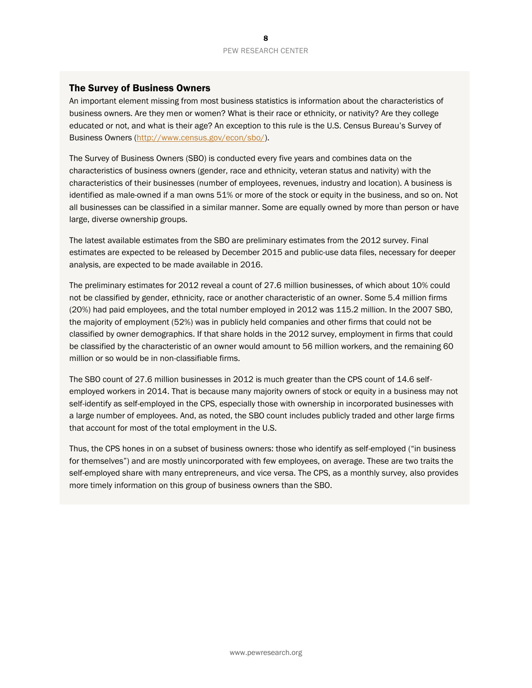#### The Survey of Business Owners

An important element missing from most business statistics is information about the characteristics of business owners. Are they men or women? What is their race or ethnicity, or nativity? Are they college educated or not, and what is their age? An exception to this rule is the U.S. Census Bureau's Survey of Business Owners [\(http://www.census.gov/econ/sbo/\)](http://www.census.gov/econ/sbo/).

The Survey of Business Owners (SBO) is conducted every five years and combines data on the characteristics of business owners (gender, race and ethnicity, veteran status and nativity) with the characteristics of their businesses (number of employees, revenues, industry and location). A business is identified as male-owned if a man owns 51% or more of the stock or equity in the business, and so on. Not all businesses can be classified in a similar manner. Some are equally owned by more than person or have large, diverse ownership groups.

The latest available estimates from the SBO are preliminary estimates from the 2012 survey. Final estimates are expected to be released by December 2015 and public-use data files, necessary for deeper analysis, are expected to be made available in 2016.

The preliminary estimates for 2012 reveal a count of 27.6 million businesses, of which about 10% could not be classified by gender, ethnicity, race or another characteristic of an owner. Some 5.4 million firms (20%) had paid employees, and the total number employed in 2012 was 115.2 million. In the 2007 SBO, the majority of employment (52%) was in publicly held companies and other firms that could not be classified by owner demographics. If that share holds in the 2012 survey, employment in firms that could be classified by the characteristic of an owner would amount to 56 million workers, and the remaining 60 million or so would be in non-classifiable firms.

The SBO count of 27.6 million businesses in 2012 is much greater than the CPS count of 14.6 selfemployed workers in 2014. That is because many majority owners of stock or equity in a business may not self-identify as self-employed in the CPS, especially those with ownership in incorporated businesses with a large number of employees. And, as noted, the SBO count includes publicly traded and other large firms that account for most of the total employment in the U.S.

Thus, the CPS hones in on a subset of business owners: those who identify as self-employed ("in business for themselves") and are mostly unincorporated with few employees, on average. These are two traits the self-employed share with many entrepreneurs, and vice versa. The CPS, as a monthly survey, also provides more timely information on this group of business owners than the SBO.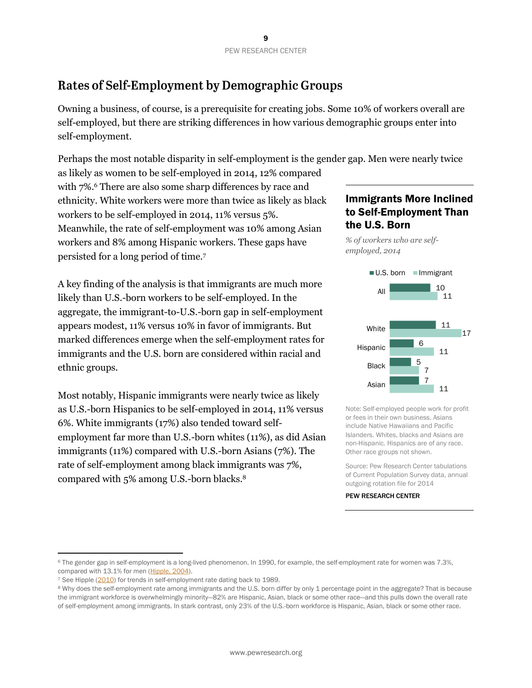# <span id="page-9-0"></span>Rates of Self-Employment by Demographic Groups

Owning a business, of course, is a prerequisite for creating jobs. Some 10% of workers overall are self-employed, but there are striking differences in how various demographic groups enter into self-employment.

Perhaps the most notable disparity in self-employment is the gender gap. Men were nearly twice

as likely as women to be self-employed in 2014, 12% compared with 7%.<sup>6</sup> There are also some sharp differences by race and ethnicity. White workers were more than twice as likely as black workers to be self-employed in 2014, 11% versus 5%. Meanwhile, the rate of self-employment was 10% among Asian workers and 8% among Hispanic workers. These gaps have persisted for a long period of time.<sup>7</sup>

A key finding of the analysis is that immigrants are much more likely than U.S.-born workers to be self-employed. In the aggregate, the immigrant-to-U.S.-born gap in self-employment appears modest, 11% versus 10% in favor of immigrants. But marked differences emerge when the self-employment rates for immigrants and the U.S. born are considered within racial and ethnic groups.

Most notably, Hispanic immigrants were nearly twice as likely as U.S.-born Hispanics to be self-employed in 2014, 11% versus 6%. White immigrants (17%) also tended toward selfemployment far more than U.S.-born whites (11%), as did Asian immigrants (11%) compared with U.S.-born Asians (7%). The rate of self-employment among black immigrants was 7%, compared with 5% among U.S.-born blacks.<sup>8</sup>

## Immigrants More Inclined to Self-Employment Than the U.S. Born

*% of workers who are selfemployed, 2014*



Note: Self-employed people work for profit or fees in their own business. Asians include Native Hawaiians and Pacific Islanders. Whites, blacks and Asians are non-Hispanic. Hispanics are of any race. Other race groups not shown.

Source: Pew Research Center tabulations of Current Population Survey data, annual outgoing rotation file for 2014

PEW RESEARCH CENTER

 $\overline{a}$ 

<sup>6</sup> The gender gap in self-employment is a long-lived phenomenon. In 1990, for example, the self-employment rate for women was 7.3%, compared with 13.1% for men [\(Hipple, 2004\)](http://www.bls.gov/opub/mlr/2004/07/art2full.pdf).

<sup>&</sup>lt;sup>7</sup> See Hipple [\(2010\)](http://www.bls.gov/opub/mlr/2010/09/art2full.pdf) for trends in self-employment rate dating back to 1989.

<sup>&</sup>lt;sup>8</sup> Why does the self-employment rate among immigrants and the U.S. born differ by only 1 percentage point in the aggregate? That is because the immigrant workforce is overwhelmingly minority—82% are Hispanic, Asian, black or some other race—and this pulls down the overall rate of self-employment among immigrants. In stark contrast, only 23% of the U.S.-born workforce is Hispanic, Asian, black or some other race.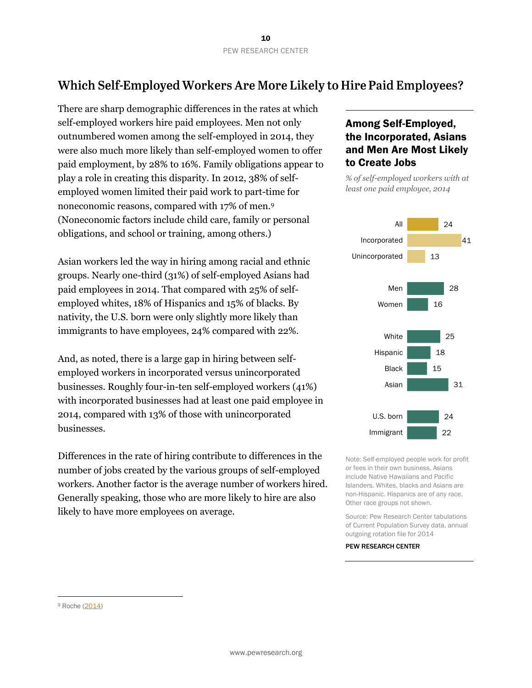# <span id="page-10-0"></span>Which Self-Employed Workers Are More Likely to Hire Paid Employees?

There are sharp demographic differences in the rates at which self-employed workers hire paid employees. Men not only outnumbered women among the self-employed in 2014, they were also much more likely than self-employed women to offer paid employment, by 28% to 16%. Family obligations appear to play a role in creating this disparity. In 2012, 38% of selfemployed women limited their paid work to part-time for noneconomic reasons, compared with 17% of men.<sup>9</sup> (Noneconomic factors include child care, family or personal obligations, and school or training, among others.)

Asian workers led the way in hiring among racial and ethnic groups. Nearly one-third (31%) of self-employed Asians had paid employees in 2014. That compared with 25% of selfemployed whites, 18% of Hispanics and 15% of blacks. By nativity, the U.S. born were only slightly more likely than immigrants to have employees, 24% compared with 22%.

And, as noted, there is a large gap in hiring between selfemployed workers in incorporated versus unincorporated businesses. Roughly four-in-ten self-employed workers (41%) with incorporated businesses had at least one paid employee in 2014, compared with 13% of those with unincorporated businesses.

Differences in the rate of hiring contribute to differences in the number of jobs created by the various groups of self-employed workers. Another factor is the average number of workers hired. Generally speaking, those who are more likely to hire are also likely to have more employees on average.

#### Among Self-Employed, the Incorporated, Asians and Men Are Most Likely to Create Jobs

*% of self-employed workers with at least one paid employee, 2014*



Note: Self-employed people work for profit or fees in their own business. Asians include Native Hawaiians and Pacific Islanders. Whites, blacks and Asians are non-Hispanic. Hispanics are of any race. Other race groups not shown.

Source: Pew Research Center tabulations of Current Population Survey data, annual outgoing rotation file for 2014

#### PEW RESEARCH CENTER

l

<sup>9</sup> Roche [\(2014\)](http://www.bls.gov/opub/mlr/2014/article/female-self-employment-in-the-united-states-an-update-to-2012.htm)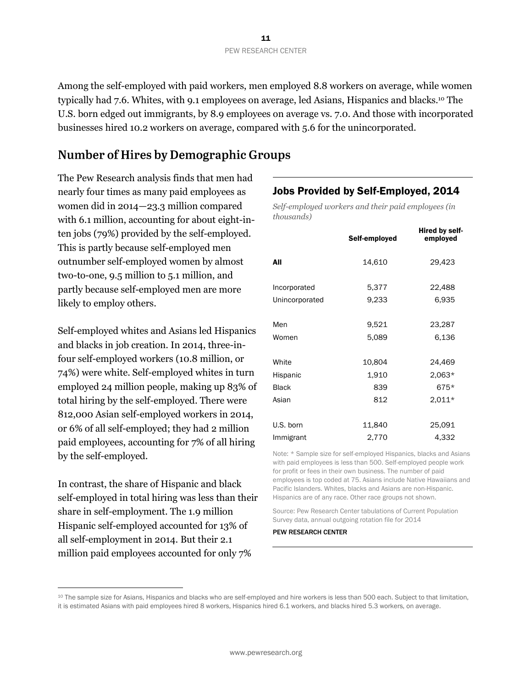Among the self-employed with paid workers, men employed 8.8 workers on average, while women typically had 7.6. Whites, with 9.1 employees on average, led Asians, Hispanics and blacks.<sup>10</sup> The U.S. born edged out immigrants, by 8.9 employees on average vs. 7.0. And those with incorporated businesses hired 10.2 workers on average, compared with 5.6 for the unincorporated.

## <span id="page-11-0"></span>**Number of Hires by Demographic Groups**

The Pew Research analysis finds that men had nearly four times as many paid employees as women did in 2014—23.3 million compared with 6.1 million, accounting for about eight-inten jobs (79%) provided by the self-employed. This is partly because self-employed men outnumber self-employed women by almost two-to-one, 9.5 million to 5.1 million, and partly because self-employed men are more likely to employ others.

Self-employed whites and Asians led Hispanics and blacks in job creation. In 2014, three-infour self-employed workers (10.8 million, or 74%) were white. Self-employed whites in turn employed 24 million people, making up 83% of total hiring by the self-employed. There were 812,000 Asian self-employed workers in 2014, or 6% of all self-employed; they had 2 million paid employees, accounting for 7% of all hiring by the self-employed.

In contrast, the share of Hispanic and black self-employed in total hiring was less than their share in self-employment. The 1.9 million Hispanic self-employed accounted for 13% of all self-employment in 2014. But their 2.1 million paid employees accounted for only 7%

 $\overline{a}$ 

#### Jobs Provided by Self-Employed, 2014

*Self-employed workers and their paid employees (in thousands)*

|                | Self-employed | Hired by self-<br>employed |
|----------------|---------------|----------------------------|
| All            | 14,610        | 29,423                     |
| Incorporated   | 5,377         | 22,488                     |
| Unincorporated | 9,233         | 6,935                      |
| Men            | 9,521         | 23,287                     |
| Women          | 5,089         | 6,136                      |
| White          | 10,804        | 24,469                     |
| Hispanic       | 1,910         | $2,063*$                   |
| <b>Black</b>   | 839           | 675*                       |
| Asian          | 812           | $2,011*$                   |
| U.S. born      | 11,840        | 25,091                     |
| Immigrant      | 2,770         | 4,332                      |

Note: \* Sample size for self-employed Hispanics, blacks and Asians with paid employees is less than 500. Self-employed people work for profit or fees in their own business. The number of paid employees is top coded at 75. Asians include Native Hawaiians and Pacific Islanders. Whites, blacks and Asians are non-Hispanic. Hispanics are of any race. Other race groups not shown.

Source: Pew Research Center tabulations of Current Population Survey data, annual outgoing rotation file for 2014

<sup>10</sup> The sample size for Asians, Hispanics and blacks who are self-employed and hire workers is less than 500 each. Subject to that limitation, it is estimated Asians with paid employees hired 8 workers, Hispanics hired 6.1 workers, and blacks hired 5.3 workers, on average.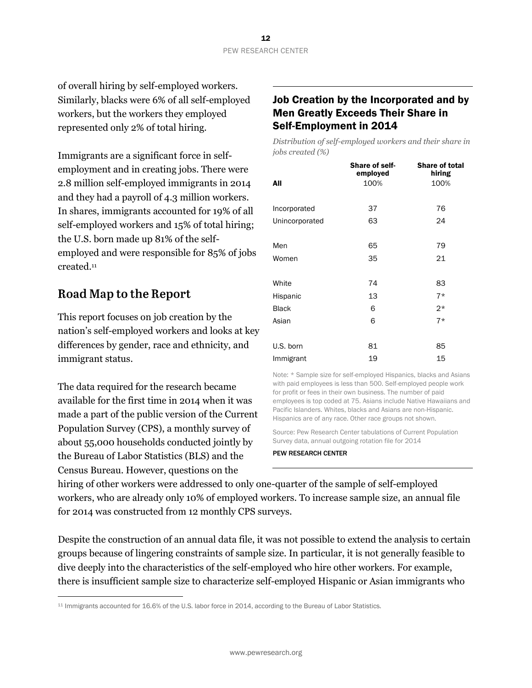of overall hiring by self-employed workers. Similarly, blacks were 6% of all self-employed workers, but the workers they employed represented only 2% of total hiring.

Immigrants are a significant force in selfemployment and in creating jobs. There were 2.8 million self-employed immigrants in 2014 and they had a payroll of 4.3 million workers. In shares, immigrants accounted for 19% of all self-employed workers and 15% of total hiring; the U.S. born made up 81% of the selfemployed and were responsible for 85% of jobs created. 11

## <span id="page-12-0"></span>**Road Map to the Report**

l

This report focuses on job creation by the nation's self-employed workers and looks at key differences by gender, race and ethnicity, and immigrant status.

The data required for the research became available for the first time in 2014 when it was made a part of the public version of the Current Population Survey (CPS), a monthly survey of about 55,000 households conducted jointly by the Bureau of Labor Statistics (BLS) and the Census Bureau. However, questions on the

## Job Creation by the Incorporated and by Men Greatly Exceeds Their Share in Self-Employment in 2014

*Distribution of self-employed workers and their share in jobs created (%)*

|                | <b>Share of self-</b><br>employed | <b>Share of total</b><br>hiring |
|----------------|-----------------------------------|---------------------------------|
| All            | 100%                              | 100%                            |
|                |                                   |                                 |
| Incorporated   | 37                                | 76                              |
| Unincorporated | 63                                | 24                              |
|                |                                   |                                 |
| Men            | 65                                | 79                              |
| Women          | 35                                | 21                              |
|                |                                   |                                 |
| White          | 74                                | 83                              |
| Hispanic       | 13                                | $7*$                            |
| <b>Black</b>   | 6                                 | $2*$                            |
| Asian          | 6                                 | $7*$                            |
|                |                                   |                                 |
| U.S. born      | 81                                | 85                              |
| Immigrant      | 19                                | 15                              |

Note: \* Sample size for self-employed Hispanics, blacks and Asians with paid employees is less than 500. Self-employed people work for profit or fees in their own business. The number of paid employees is top coded at 75. Asians include Native Hawaiians and Pacific Islanders. Whites, blacks and Asians are non-Hispanic. Hispanics are of any race. Other race groups not shown.

Source: Pew Research Center tabulations of Current Population Survey data, annual outgoing rotation file for 2014

PEW RESEARCH CENTER

hiring of other workers were addressed to only one-quarter of the sample of self-employed workers, who are already only 10% of employed workers. To increase sample size, an annual file for 2014 was constructed from 12 monthly CPS surveys.

Despite the construction of an annual data file, it was not possible to extend the analysis to certain groups because of lingering constraints of sample size. In particular, it is not generally feasible to dive deeply into the characteristics of the self-employed who hire other workers. For example, there is insufficient sample size to characterize self-employed Hispanic or Asian immigrants who

<sup>11</sup> Immigrants accounted for 16.6% of the U.S. labor force in 2014, according to the Bureau of Labor Statistics.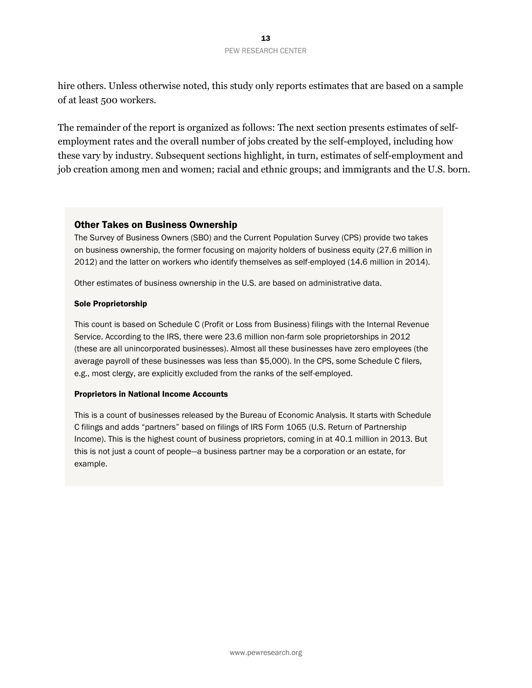#### 13 PEW RESEARCH CENTER

hire others. Unless otherwise noted, this study only reports estimates that are based on a sample of at least 500 workers.

The remainder of the report is organized as follows: The next section presents estimates of selfemployment rates and the overall number of jobs created by the self-employed, including how these vary by industry. Subsequent sections highlight, in turn, estimates of self-employment and job creation among men and women; racial and ethnic groups; and immigrants and the U.S. born.

#### Other Takes on Business Ownership

The Survey of Business Owners (SBO) and the Current Population Survey (CPS) provide two takes on business ownership, the former focusing on majority holders of business equity (27.6 million in 2012) and the latter on workers who identify themselves as self-employed (14.6 million in 2014).

Other estimates of business ownership in the U.S. are based on administrative data.

#### Sole Proprietorship

This count is based on Schedule C (Profit or Loss from Business) filings with the Internal Revenue Service. According to the IRS, there were 23.6 million non-farm sole proprietorships in 2012 (these are all unincorporated businesses). Almost all these businesses have zero employees (the average payroll of these businesses was less than \$5,000). In the CPS, some Schedule C filers, e.g., most clergy, are explicitly excluded from the ranks of the self-employed.

#### Proprietors in National Income Accounts

This is a count of businesses released by the Bureau of Economic Analysis. It starts with Schedule C filings and adds "partners" based on filings of IRS Form 1065 (U.S. Return of Partnership Income). This is the highest count of business proprietors, coming in at 40.1 million in 2013. But this is not just a count of people—a business partner may be a corporation or an estate, for example.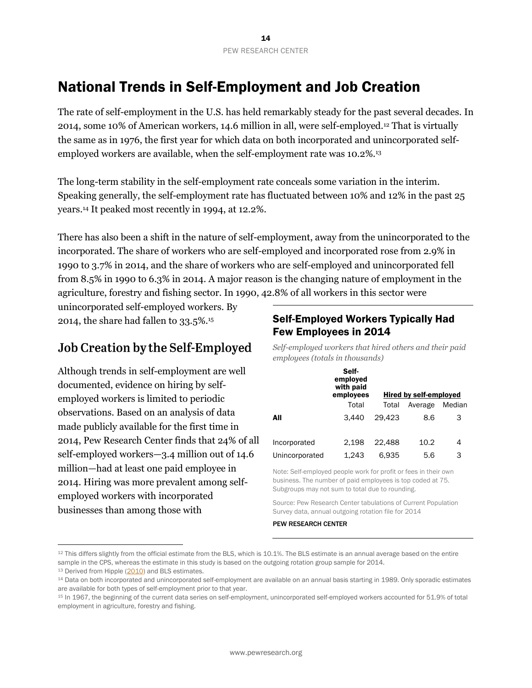# <span id="page-14-0"></span>National Trends in Self-Employment and Job Creation

The rate of self-employment in the U.S. has held remarkably steady for the past several decades. In 2014, some 10% of American workers, 14.6 million in all, were self-employed.<sup>12</sup> That is virtually the same as in 1976, the first year for which data on both incorporated and unincorporated selfemployed workers are available, when the self-employment rate was 10.2%.<sup>13</sup>

The long-term stability in the self-employment rate conceals some variation in the interim. Speaking generally, the self-employment rate has fluctuated between 10% and 12% in the past 25 years. <sup>14</sup> It peaked most recently in 1994, at 12.2%.

There has also been a shift in the nature of self-employment, away from the unincorporated to the incorporated. The share of workers who are self-employed and incorporated rose from 2.9% in 1990 to 3.7% in 2014, and the share of workers who are self-employed and unincorporated fell from 8.5% in 1990 to 6.3% in 2014. A major reason is the changing nature of employment in the agriculture, forestry and fishing sector. In 1990, 42.8% of all workers in this sector were

unincorporated self-employed workers. By 2014, the share had fallen to 33.5%.<sup>15</sup>

# <span id="page-14-1"></span>Job Creation by the Self-Employed

Although trends in self-employment are well documented, evidence on hiring by selfemployed workers is limited to periodic observations. Based on an analysis of data made publicly available for the first time in 2014, Pew Research Center finds that 24% of all self-employed workers—3.4 million out of 14.6 million—had at least one paid employee in 2014. Hiring was more prevalent among selfemployed workers with incorporated businesses than among those with

## Self-Employed Workers Typically Had Few Employees in 2014

*Self-employed workers that hired others and their paid employees (totals in thousands)*

|                | Self-<br>employed<br>with paid<br>employees |        | <b>Hired by self-employed</b> |        |
|----------------|---------------------------------------------|--------|-------------------------------|--------|
|                | Total                                       | Total  | Average                       | Median |
| All            | 3.440                                       | 29.423 | 8.6                           | З      |
| Incorporated   | 2.198                                       | 22.488 | 10.2                          | 4      |
| Unincorporated | 1.243                                       | 6.935  | 5.6                           | З      |

Note: Self-employed people work for profit or fees in their own business. The number of paid employees is top coded at 75. Subgroups may not sum to total due to rounding.

Source: Pew Research Center tabulations of Current Population Survey data, annual outgoing rotation file for 2014

#### PEW RESEARCH CENTER

 $\overline{a}$ 

<sup>12</sup> This differs slightly from the official estimate from the BLS, which is 10.1%. The BLS estimate is an annual average based on the entire sample in the CPS, whereas the estimate in this study is based on the outgoing rotation group sample for 2014.

<sup>13</sup> Derived from Hipple [\(2010\)](http://www.bls.gov/opub/mlr/2010/09/art2full.pdf) and BLS estimates.

<sup>14</sup> Data on both incorporated and unincorporated self-employment are available on an annual basis starting in 1989. Only sporadic estimates are available for both types of self-employment prior to that year.

<sup>15</sup> In 1967, the beginning of the current data series on self-employment, unincorporated self-employed workers accounted for 51.9% of total employment in agriculture, forestry and fishing.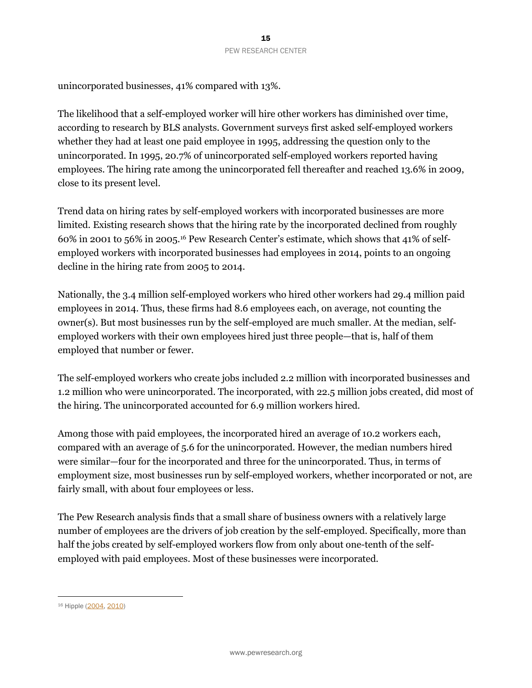unincorporated businesses, 41% compared with 13%.

The likelihood that a self-employed worker will hire other workers has diminished over time, according to research by BLS analysts. Government surveys first asked self-employed workers whether they had at least one paid employee in 1995, addressing the question only to the unincorporated. In 1995, 20.7% of unincorporated self-employed workers reported having employees. The hiring rate among the unincorporated fell thereafter and reached 13.6% in 2009, close to its present level.

Trend data on hiring rates by self-employed workers with incorporated businesses are more limited. Existing research shows that the hiring rate by the incorporated declined from roughly 60% in 2001 to 56% in 2005.<sup>16</sup> Pew Research Center's estimate, which shows that 41% of selfemployed workers with incorporated businesses had employees in 2014, points to an ongoing decline in the hiring rate from 2005 to 2014.

Nationally, the 3.4 million self-employed workers who hired other workers had 29.4 million paid employees in 2014. Thus, these firms had 8.6 employees each, on average, not counting the owner(s). But most businesses run by the self-employed are much smaller. At the median, selfemployed workers with their own employees hired just three people—that is, half of them employed that number or fewer.

The self-employed workers who create jobs included 2.2 million with incorporated businesses and 1.2 million who were unincorporated. The incorporated, with 22.5 million jobs created, did most of the hiring. The unincorporated accounted for 6.9 million workers hired.

Among those with paid employees, the incorporated hired an average of 10.2 workers each, compared with an average of 5.6 for the unincorporated. However, the median numbers hired were similar—four for the incorporated and three for the unincorporated. Thus, in terms of employment size, most businesses run by self-employed workers, whether incorporated or not, are fairly small, with about four employees or less.

The Pew Research analysis finds that a small share of business owners with a relatively large number of employees are the drivers of job creation by the self-employed. Specifically, more than half the jobs created by self-employed workers flow from only about one-tenth of the selfemployed with paid employees. Most of these businesses were incorporated.

l

<sup>16</sup> Hipple [\(2004,](http://www.bls.gov/opub/mlr/2004/07/art2full.pdf) [2010\)](http://www.bls.gov/opub/mlr/2010/09/art2full.pdf)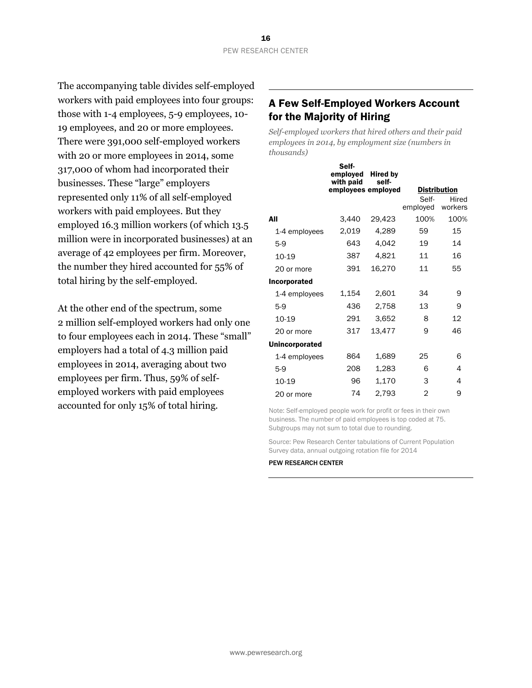The accompanying table divides self-employed workers with paid employees into four groups: those with 1-4 employees, 5-9 employees, 10- 19 employees, and 20 or more employees. There were 391,000 self-employed workers with 20 or more employees in 2014, some 317,000 of whom had incorporated their businesses. These "large" employers represented only 11% of all self-employed workers with paid employees. But they employed 16.3 million workers (of which 13.5 million were in incorporated businesses) at an average of 42 employees per firm. Moreover, the number they hired accounted for 55% of total hiring by the self-employed.

At the other end of the spectrum, some 2 million self-employed workers had only one to four employees each in 2014. These "small" employers had a total of 4.3 million paid employees in 2014, averaging about two employees per firm. Thus, 59% of selfemployed workers with paid employees accounted for only 15% of total hiring.

## A Few Self-Employed Workers Account for the Majority of Hiring

*Self-employed workers that hired others and their paid employees in 2014, by employment size (numbers in thousands)*

 $\sim$ 

|                       | Seit-<br>employed<br>with paid | <b>Hired by</b><br>self- |                   |                     |
|-----------------------|--------------------------------|--------------------------|-------------------|---------------------|
|                       | employees employed             |                          |                   | <u>Distribution</u> |
|                       |                                |                          | Self-<br>employed | Hired<br>workers    |
| All                   | 3,440                          | 29,423                   | 100%              | 100%                |
| 1-4 employees         | 2,019                          | 4,289                    | 59                | 15                  |
| $5-9$                 | 643                            | 4,042                    | 19                | 14                  |
| 10-19                 | 387                            | 4,821                    | 11                | 16                  |
| 20 or more            | 391                            | 16,270                   | 11                | 55                  |
| Incorporated          |                                |                          |                   |                     |
| 1-4 employees         | 1,154                          | 2,601                    | 34                | 9                   |
| $5-9$                 | 436                            | 2,758                    | 13                | 9                   |
| 10-19                 | 291                            | 3,652                    | 8                 | 12                  |
| 20 or more            | 317                            | 13,477                   | 9                 | 46                  |
| <b>Unincorporated</b> |                                |                          |                   |                     |
| 1-4 employees         | 864                            | 1,689                    | 25                | 6                   |
| $5-9$                 | 208                            | 1,283                    | 6                 | 4                   |
| 10-19                 | 96                             | 1,170                    | 3                 | 4                   |
| 20 or more            | 74                             | 2,793                    | $\overline{2}$    | 9                   |

Note: Self-employed people work for profit or fees in their own business. The number of paid employees is top coded at 75. Subgroups may not sum to total due to rounding.

Source: Pew Research Center tabulations of Current Population Survey data, annual outgoing rotation file for 2014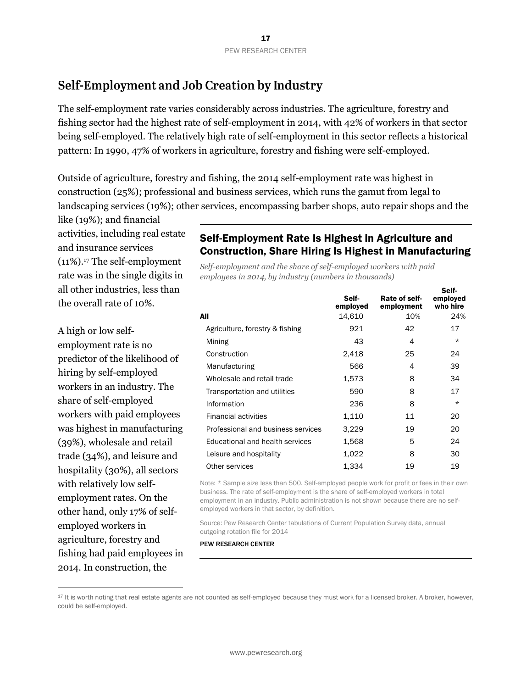## <span id="page-17-0"></span>Self-Employment and Job Creation by Industry

The self-employment rate varies considerably across industries. The agriculture, forestry and fishing sector had the highest rate of self-employment in 2014, with 42% of workers in that sector being self-employed. The relatively high rate of self-employment in this sector reflects a historical pattern: In 1990, 47% of workers in agriculture, forestry and fishing were self-employed.

Outside of agriculture, forestry and fishing, the 2014 self-employment rate was highest in construction (25%); professional and business services, which runs the gamut from legal to landscaping services (19%); other services, encompassing barber shops, auto repair shops and the

like (19%); and financial activities, including real estate and insurance services (11%).<sup>17</sup> The self-employment rate was in the single digits in all other industries, less than the overall rate of 10%.

A high or low selfemployment rate is no predictor of the likelihood of hiring by self-employed workers in an industry. The share of self-employed workers with paid employees was highest in manufacturing (39%), wholesale and retail trade (34%), and leisure and hospitality (30%), all sectors with relatively low selfemployment rates. On the other hand, only 17% of selfemployed workers in agriculture, forestry and fishing had paid employees in 2014. In construction, the

 $\overline{a}$ 

## Self-Employment Rate Is Highest in Agriculture and Construction, Share Hiring Is Highest in Manufacturing

 $\overline{\phantom{a}}$ 

*Self-employment and the share of self-employed workers with paid employees in 2014, by industry (numbers in thousands)*

|                                    | Self-<br>employed | Rate of self-<br>employment | Sell-<br>employed<br>who hire |
|------------------------------------|-------------------|-----------------------------|-------------------------------|
| All                                | 14,610            | 10%                         | 24%                           |
| Agriculture, forestry & fishing    | 921               | 42                          | 17                            |
| Mining                             | 43                | 4                           | $\star$                       |
| Construction                       | 2,418             | 25                          | 24                            |
| Manufacturing                      | 566               | 4                           | 39                            |
| Wholesale and retail trade         | 1,573             | 8                           | 34                            |
| Transportation and utilities       | 590               | 8                           | 17                            |
| Information                        | 236               | 8                           | $\star$                       |
| <b>Financial activities</b>        | 1,110             | 11                          | 20                            |
| Professional and business services | 3,229             | 19                          | 20                            |
| Educational and health services    | 1,568             | 5                           | 24                            |
| Leisure and hospitality            | 1,022             | 8                           | 30                            |
| Other services                     | 1,334             | 19                          | 19                            |

Note: \* Sample size less than 500. Self-employed people work for profit or fees in their own business. The rate of self-employment is the share of self-employed workers in total employment in an industry. Public administration is not shown because there are no selfemployed workers in that sector, by definition.

Source: Pew Research Center tabulations of Current Population Survey data, annual outgoing rotation file for 2014

<sup>17</sup> It is worth noting that real estate agents are not counted as self-employed because they must work for a licensed broker. A broker, however, could be self-employed.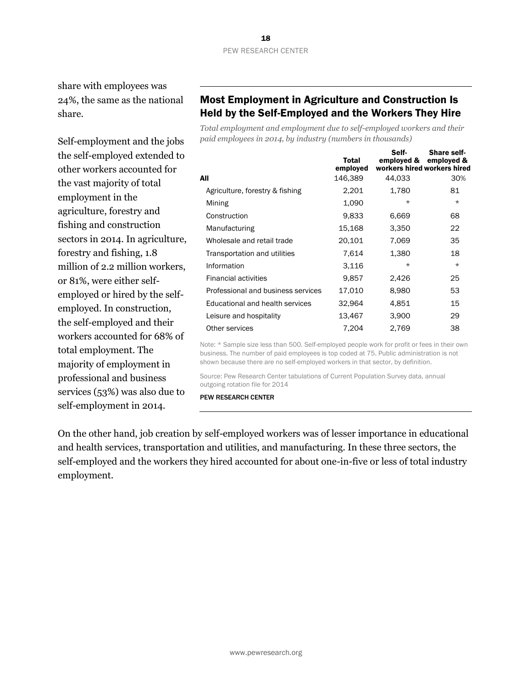share with employees was 24%, the same as the national share.

Self-employment and the jobs the self-employed extended to other workers accounted for the vast majority of total employment in the agriculture, forestry and fishing and construction sectors in 2014. In agriculture, forestry and fishing, 1.8 million of 2.2 million workers, or 81%, were either selfemployed or hired by the selfemployed. In construction, the self-employed and their workers accounted for 68% of total employment. The majority of employment in professional and business services (53%) was also due to self-employment in 2014.

## Most Employment in Agriculture and Construction Is Held by the Self-Employed and the Workers They Hire

*Total employment and employment due to self-employed workers and their paid employees in 2014, by industry (numbers in thousands)*

|                                    | Total<br>employed | Self-<br>emploved & | <b>Share self-</b><br>employed &<br>workers hired workers hired |
|------------------------------------|-------------------|---------------------|-----------------------------------------------------------------|
| All                                | 146,389           | 44,033              | 30%                                                             |
| Agriculture, forestry & fishing    | 2,201             | 1,780               | 81                                                              |
| Mining                             | 1,090             | $\star$             | $\star$                                                         |
| Construction                       | 9,833             | 6,669               | 68                                                              |
| Manufacturing                      | 15,168            | 3,350               | 22                                                              |
| Wholesale and retail trade         | 20,101            | 7,069               | 35                                                              |
| Transportation and utilities       | 7.614             | 1,380               | 18                                                              |
| Information                        | 3,116             | $\star$             | $\star$                                                         |
| <b>Financial activities</b>        | 9,857             | 2,426               | 25                                                              |
| Professional and business services | 17,010            | 8,980               | 53                                                              |
| Educational and health services    | 32,964            | 4,851               | 15                                                              |
| Leisure and hospitality            | 13,467            | 3,900               | 29                                                              |
| Other services                     | 7,204             | 2,769               | 38                                                              |

Note: \* Sample size less than 500. Self-employed people work for profit or fees in their own business. The number of paid employees is top coded at 75. Public administration is not shown because there are no self-employed workers in that sector, by definition.

Source: Pew Research Center tabulations of Current Population Survey data, annual outgoing rotation file for 2014

PEW RESEARCH CENTER

On the other hand, job creation by self-employed workers was of lesser importance in educational and health services, transportation and utilities, and manufacturing. In these three sectors, the self-employed and the workers they hired accounted for about one-in-five or less of total industry employment.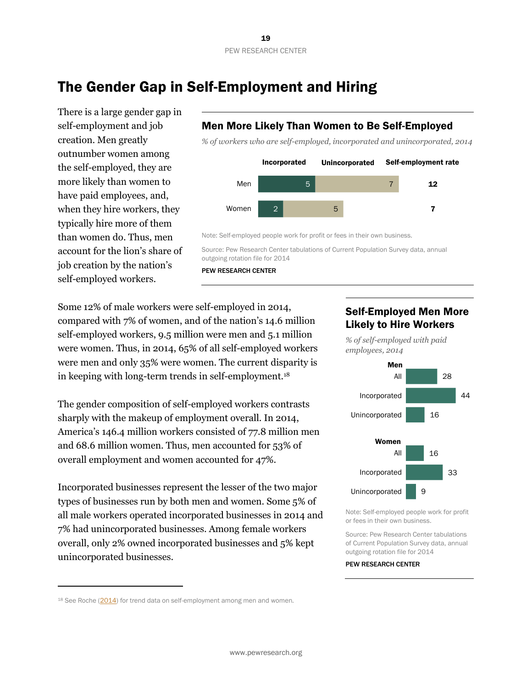www.pewresearch.org

# <span id="page-19-0"></span>The Gender Gap in Self-Employment and Hiring

There is a large gender gap in self-employment and job creation. Men greatly outnumber women among the self-employed, they are more likely than women to have paid employees, and, when they hire workers, they typically hire more of them than women do. Thus, men account for the lion's share of job creation by the nation's self-employed workers.

## Men More Likely Than Women to Be Self-Employed

*% of workers who are self-employed, incorporated and unincorporated, 2014*



Note: Self-employed people work for profit or fees in their own business.

Source: Pew Research Center tabulations of Current Population Survey data, annual outgoing rotation file for 2014

PEW RESEARCH CENTER

Some 12% of male workers were self-employed in 2014, compared with 7% of women, and of the nation's 14.6 million self-employed workers, 9.5 million were men and 5.1 million were women. Thus, in 2014, 65% of all self-employed workers were men and only 35% were women. The current disparity is in keeping with long-term trends in self-employment.<sup>18</sup>

The gender composition of self-employed workers contrasts sharply with the makeup of employment overall. In 2014, America's 146.4 million workers consisted of 77.8 million men and 68.6 million women. Thus, men accounted for 53% of overall employment and women accounted for 47%.

Incorporated businesses represent the lesser of the two major types of businesses run by both men and women. Some 5% of all male workers operated incorporated businesses in 2014 and 7% had unincorporated businesses. Among female workers overall, only 2% owned incorporated businesses and 5% kept unincorporated businesses.

 $\overline{a}$ 

## Self-Employed Men More Likely to Hire Workers

*% of self-employed with paid employees, 2014* 



Note: Self-employed people work for profit or fees in their own business.

Source: Pew Research Center tabulations of Current Population Survey data, annual outgoing rotation file for 2014

<sup>&</sup>lt;sup>18</sup> See Roche [\(2014\)](http://www.bls.gov/opub/mlr/2014/article/female-self-employment-in-the-united-states-an-update-to-2012.htm) for trend data on self-employment among men and women.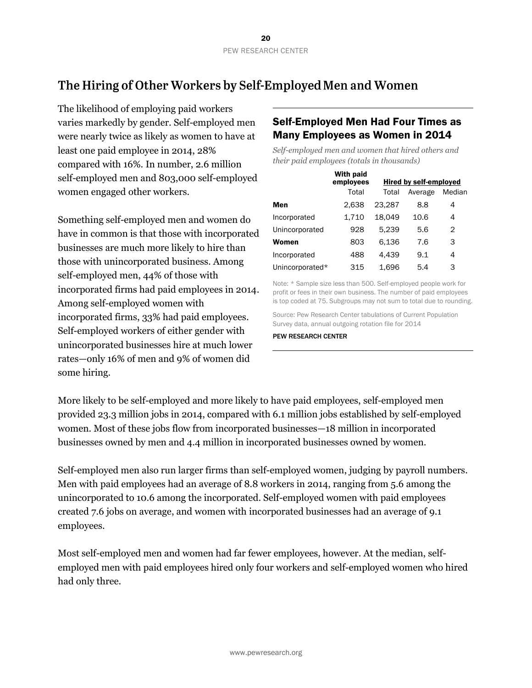# <span id="page-20-0"></span>The Hiring of Other Workers by Self-Employed Men and Women

The likelihood of employing paid workers varies markedly by gender. Self-employed men were nearly twice as likely as women to have at least one paid employee in 2014, 28% compared with 16%. In number, 2.6 million self-employed men and 803,000 self-employed women engaged other workers.

Something self-employed men and women do have in common is that those with incorporated businesses are much more likely to hire than those with unincorporated business. Among self-employed men, 44% of those with incorporated firms had paid employees in 2014. Among self-employed women with incorporated firms, 33% had paid employees. Self-employed workers of either gender with unincorporated businesses hire at much lower rates—only 16% of men and 9% of women did some hiring.

#### Self-Employed Men Had Four Times as Many Employees as Women in 2014

*Self-employed men and women that hired others and their paid employees (totals in thousands)*

|                 | With paid<br>employees |        | Hired by self-employed |        |
|-----------------|------------------------|--------|------------------------|--------|
|                 | Total                  | Total  | Average                | Median |
| Men             | 2.638                  | 23.287 | 8.8                    | 4      |
| Incorporated    | 1.710                  | 18.049 | 10.6                   | 4      |
| Unincorporated  | 928                    | 5,239  | 5.6                    | 2      |
| Women           | 803                    | 6.136  | 7.6                    | 3      |
| Incorporated    | 488                    | 4.439  | 9.1                    | 4      |
| Unincorporated* | 315                    | 1.696  | 5.4                    | 3      |

Note: \* Sample size less than 500. Self-employed people work for profit or fees in their own business. The number of paid employees is top coded at 75. Subgroups may not sum to total due to rounding.

Source: Pew Research Center tabulations of Current Population Survey data, annual outgoing rotation file for 2014

PEW RESEARCH CENTER

More likely to be self-employed and more likely to have paid employees, self-employed men provided 23.3 million jobs in 2014, compared with 6.1 million jobs established by self-employed women. Most of these jobs flow from incorporated businesses—18 million in incorporated businesses owned by men and 4.4 million in incorporated businesses owned by women.

Self-employed men also run larger firms than self-employed women, judging by payroll numbers. Men with paid employees had an average of 8.8 workers in 2014, ranging from 5.6 among the unincorporated to 10.6 among the incorporated. Self-employed women with paid employees created 7.6 jobs on average, and women with incorporated businesses had an average of 9.1 employees.

Most self-employed men and women had far fewer employees, however. At the median, selfemployed men with paid employees hired only four workers and self-employed women who hired had only three.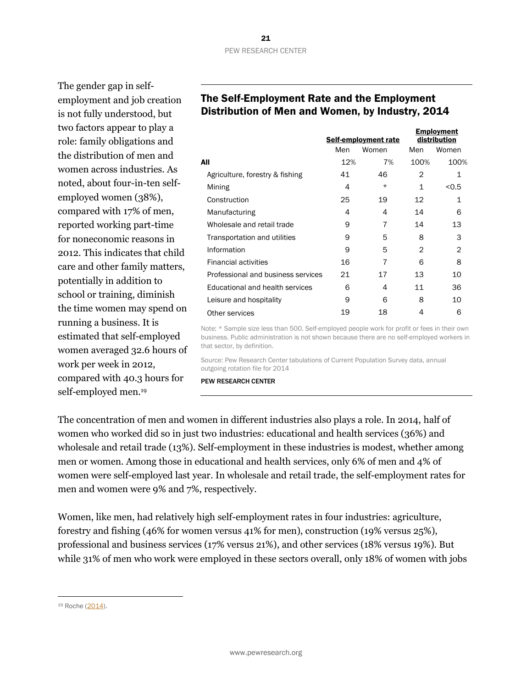The gender gap in selfemployment and job creation is not fully understood, but two factors appear to play a role: family obligations and the distribution of men and women across industries. As noted, about four-in-ten selfemployed women (38%), compared with 17% of men, reported working part-time for noneconomic reasons in 2012. This indicates that child care and other family matters, potentially in addition to school or training, diminish the time women may spend on running a business. It is estimated that self-employed women averaged 32.6 hours of work per week in 2012, compared with 40.3 hours for self-employed men.<sup>19</sup>

## The Self-Employment Rate and the Employment Distribution of Men and Women, by Industry, 2014

|                                    |     | Self-employment rate |      | <b>Employment</b><br>distribution |
|------------------------------------|-----|----------------------|------|-----------------------------------|
|                                    | Men | Women                | Men  | Women                             |
| All                                | 12% | 7%                   | 100% | 100%                              |
| Agriculture, forestry & fishing    | 41  | 46                   | 2    | 1                                 |
| Mining                             | 4   | $\star$              | 1    | < 0.5                             |
| Construction                       | 25  | 19                   | 12   | 1                                 |
| Manufacturing                      | 4   | 4                    | 14   | 6                                 |
| Wholesale and retail trade         | 9   | 7                    | 14   | 13                                |
| Transportation and utilities       | 9   | 5                    | 8    | З                                 |
| Information                        | 9   | 5                    | 2    | 2                                 |
| <b>Financial activities</b>        | 16  | 7                    | 6    | 8                                 |
| Professional and business services | 21  | 17                   | 13   | 10                                |
| Educational and health services    | 6   | 4                    | 11   | 36                                |
| Leisure and hospitality            | 9   | 6                    | 8    | 10                                |
| Other services                     | 19  | 18                   | 4    | 6                                 |

Note: \* Sample size less than 500. Self-employed people work for profit or fees in their own business. Public administration is not shown because there are no self-employed workers in that sector, by definition.

Source: Pew Research Center tabulations of Current Population Survey data, annual outgoing rotation file for 2014

PEW RESEARCH CENTER

The concentration of men and women in different industries also plays a role. In 2014, half of women who worked did so in just two industries: educational and health services (36%) and wholesale and retail trade (13%). Self-employment in these industries is modest, whether among men or women. Among those in educational and health services, only 6% of men and 4% of women were self-employed last year. In wholesale and retail trade, the self-employment rates for men and women were 9% and 7%, respectively.

Women, like men, had relatively high self-employment rates in four industries: agriculture, forestry and fishing (46% for women versus 41% for men), construction (19% versus 25%), professional and business services (17% versus 21%), and other services (18% versus 19%). But while 31% of men who work were employed in these sectors overall, only 18% of women with jobs

l

<sup>19</sup> Roche [\(2014\)](http://www.bls.gov/opub/mlr/2014/article/female-self-employment-in-the-united-states-an-update-to-2012.htm).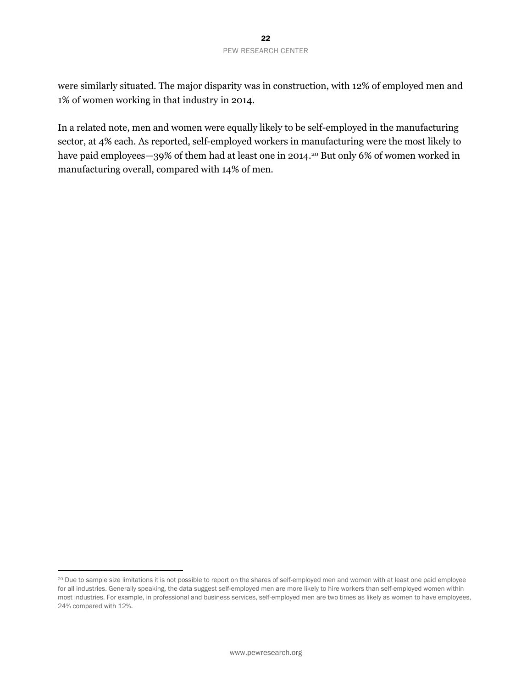were similarly situated. The major disparity was in construction, with 12% of employed men and 1% of women working in that industry in 2014.

In a related note, men and women were equally likely to be self-employed in the manufacturing sector, at 4% each. As reported, self-employed workers in manufacturing were the most likely to have paid employees—39% of them had at least one in 2014.<sup>20</sup> But only 6% of women worked in manufacturing overall, compared with 14% of men.

 $\overline{a}$ 

<sup>&</sup>lt;sup>20</sup> Due to sample size limitations it is not possible to report on the shares of self-employed men and women with at least one paid employee for all industries. Generally speaking, the data suggest self-employed men are more likely to hire workers than self-employed women within most industries. For example, in professional and business services, self-employed men are two times as likely as women to have employees, 24% compared with 12%.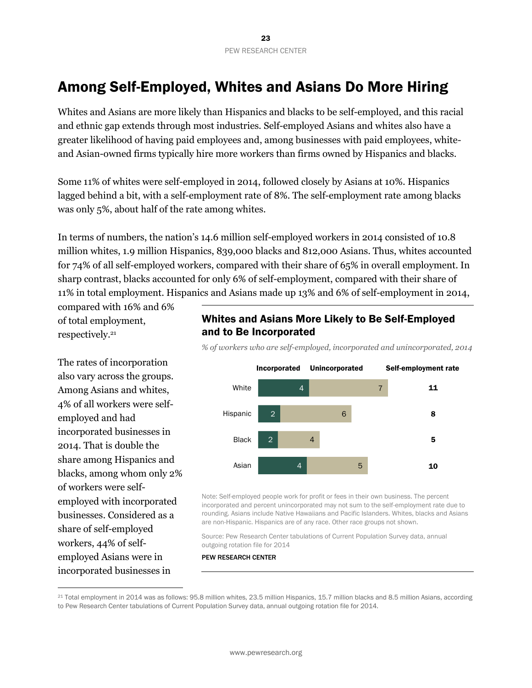# <span id="page-23-0"></span>Among Self-Employed, Whites and Asians Do More Hiring

Whites and Asians are more likely than Hispanics and blacks to be self-employed, and this racial and ethnic gap extends through most industries. Self-employed Asians and whites also have a greater likelihood of having paid employees and, among businesses with paid employees, whiteand Asian-owned firms typically hire more workers than firms owned by Hispanics and blacks.

Some 11% of whites were self-employed in 2014, followed closely by Asians at 10%. Hispanics lagged behind a bit, with a self-employment rate of 8%. The self-employment rate among blacks was only 5%, about half of the rate among whites.

In terms of numbers, the nation's 14.6 million self-employed workers in 2014 consisted of 10.8 million whites, 1.9 million Hispanics, 839,000 blacks and 812,000 Asians. Thus, whites accounted for 74% of all self-employed workers, compared with their share of 65% in overall employment. In sharp contrast, blacks accounted for only 6% of self-employment, compared with their share of 11% in total employment. Hispanics and Asians made up 13% and 6% of self-employment in 2014,

compared with 16% and 6% of total employment, respectively.<sup>21</sup>

The rates of incorporation also vary across the groups. Among Asians and whites, 4% of all workers were selfemployed and had incorporated businesses in 2014. That is double the share among Hispanics and blacks, among whom only 2% of workers were selfemployed with incorporated businesses. Considered as a share of self-employed workers, 44% of selfemployed Asians were in incorporated businesses in

 $\overline{a}$ 

#### Whites and Asians More Likely to Be Self-Employed and to Be Incorporated

*% of workers who are self-employed, incorporated and unincorporated, 2014*



Note: Self-employed people work for profit or fees in their own business. The percent incorporated and percent unincorporated may not sum to the self-employment rate due to rounding. Asians include Native Hawaiians and Pacific Islanders. Whites, blacks and Asians are non-Hispanic. Hispanics are of any race. Other race groups not shown.

Source: Pew Research Center tabulations of Current Population Survey data, annual outgoing rotation file for 2014

<sup>21</sup> Total employment in 2014 was as follows: 95.8 million whites, 23.5 million Hispanics, 15.7 million blacks and 8.5 million Asians, according to Pew Research Center tabulations of Current Population Survey data, annual outgoing rotation file for 2014.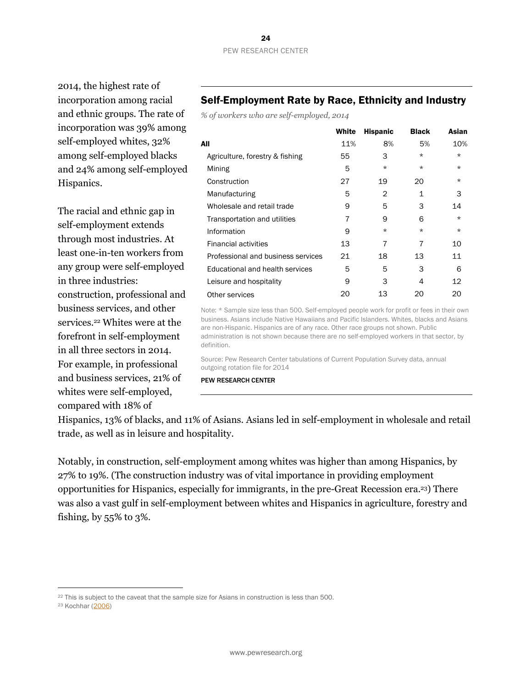2014, the highest rate of incorporation among racial and ethnic groups. The rate of incorporation was 39% among self-employed whites, 32% among self-employed blacks and 24% among self-employed Hispanics.

The racial and ethnic gap in self-employment extends through most industries. At least one-in-ten workers from any group were self-employed in three industries: construction, professional and business services, and other services.<sup>22</sup> Whites were at the forefront in self-employment in all three sectors in 2014. For example, in professional and business services, 21% of whites were self-employed, compared with 18% of

#### Self-Employment Rate by Race, Ethnicity and Industry

*% of workers who are self-employed, 2014*

|                                    | White | <b>Hispanic</b> | <b>Black</b> | Asian   |
|------------------------------------|-------|-----------------|--------------|---------|
| All                                | 11%   | 8%              | 5%           | 10%     |
| Agriculture, forestry & fishing    | 55    | 3               | $\star$      | $\star$ |
| Mining                             | 5     | $\star$         | $\star$      | $\star$ |
| Construction                       | 27    | 19              | 20           | $\star$ |
| Manufacturing                      | 5     | 2               | 1            | З       |
| Wholesale and retail trade         | 9     | 5               | 3            | 14      |
| Transportation and utilities       | 7     | 9               | 6            | $\star$ |
| Information                        | 9     | $\star$         | $\star$      | $\star$ |
| <b>Financial activities</b>        | 13    | 7               | 7            | 10      |
| Professional and business services | 21    | 18              | 13           | 11      |
| Educational and health services    | 5     | 5               | 3            | 6       |
| Leisure and hospitality            | 9     | 3               | 4            | 12      |
| Other services                     | 20    | 13              | 20           | 20      |

Note: \* Sample size less than 500. Self-employed people work for profit or fees in their own business. Asians include Native Hawaiians and Pacific Islanders. Whites, blacks and Asians are non-Hispanic. Hispanics are of any race. Other race groups not shown. Public administration is not shown because there are no self-employed workers in that sector, by definition.

Source: Pew Research Center tabulations of Current Population Survey data, annual outgoing rotation file for 2014

PEW RESEARCH CENTER

Hispanics, 13% of blacks, and 11% of Asians. Asians led in self-employment in wholesale and retail trade, as well as in leisure and hospitality.

Notably, in construction, self-employment among whites was higher than among Hispanics, by 27% to 19%. (The construction industry was of vital importance in providing employment opportunities for Hispanics, especially for immigrants, in the pre-Great Recession era. <sup>23</sup>) There was also a vast gulf in self-employment between whites and Hispanics in agriculture, forestry and fishing, by 55% to 3%.

 $\overline{a}$ 

<sup>&</sup>lt;sup>22</sup> This is subject to the caveat that the sample size for Asians in construction is less than 500.

<sup>23</sup> Kochhar [\(2006\)](http://www.pewhispanic.org/2006/09/27/latino-labor-report-2006/)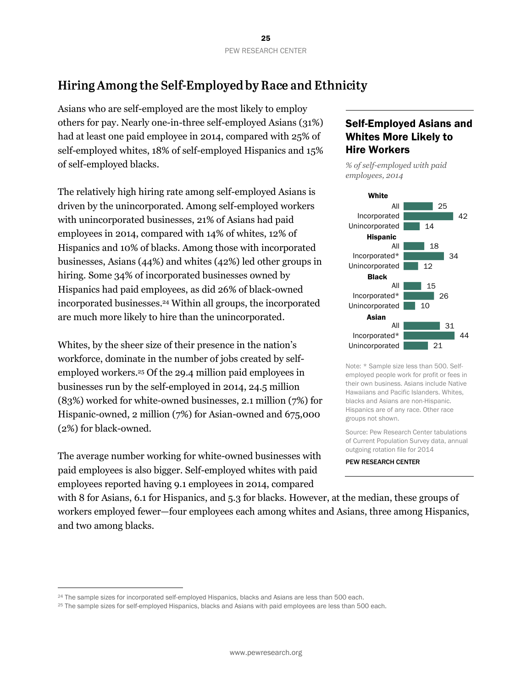# <span id="page-25-0"></span>Hiring Among the Self-Employed by Race and Ethnicity

Asians who are self-employed are the most likely to employ others for pay. Nearly one-in-three self-employed Asians (31%) had at least one paid employee in 2014, compared with 25% of self-employed whites, 18% of self-employed Hispanics and 15% of self-employed blacks.

The relatively high hiring rate among self-employed Asians is driven by the unincorporated. Among self-employed workers with unincorporated businesses, 21% of Asians had paid employees in 2014, compared with 14% of whites, 12% of Hispanics and 10% of blacks. Among those with incorporated businesses, Asians (44%) and whites (42%) led other groups in hiring. Some 34% of incorporated businesses owned by Hispanics had paid employees, as did 26% of black-owned incorporated businesses.<sup>24</sup> Within all groups, the incorporated are much more likely to hire than the unincorporated.

Whites, by the sheer size of their presence in the nation's workforce, dominate in the number of jobs created by selfemployed workers.<sup>25</sup> Of the 29.4 million paid employees in businesses run by the self-employed in 2014, 24.5 million (83%) worked for white-owned businesses, 2.1 million (7%) for Hispanic-owned, 2 million (7%) for Asian-owned and 675,000 (2%) for black-owned.

The average number working for white-owned businesses with paid employees is also bigger. Self-employed whites with paid employees reported having 9.1 employees in 2014, compared

 $\overline{a}$ 

#### Self-Employed Asians and Whites More Likely to Hire Workers

*% of self-employed with paid employees, 2014* 



Note: \* Sample size less than 500. Selfemployed people work for profit or fees in their own business. Asians include Native Hawaiians and Pacific Islanders. Whites, blacks and Asians are non-Hispanic. Hispanics are of any race. Other race groups not shown.

Source: Pew Research Center tabulations of Current Population Survey data, annual outgoing rotation file for 2014

PEW RESEARCH CENTER

with 8 for Asians, 6.1 for Hispanics, and 5.3 for blacks. However, at the median, these groups of workers employed fewer—four employees each among whites and Asians, three among Hispanics, and two among blacks.

<sup>24</sup> The sample sizes for incorporated self-employed Hispanics, blacks and Asians are less than 500 each.

<sup>&</sup>lt;sup>25</sup> The sample sizes for self-employed Hispanics, blacks and Asians with paid employees are less than 500 each.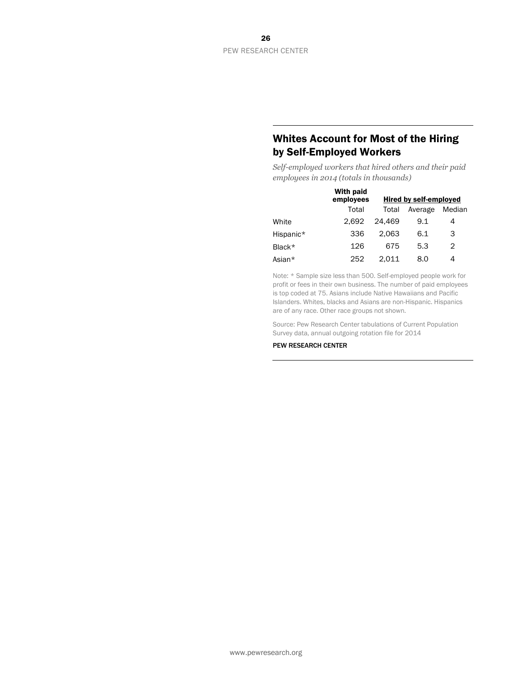#### Whites Account for Most of the Hiring by Self-Employed Workers

*Self-employed workers that hired others and their paid employees in 2014 (totals in thousands)*

|           | With paid<br>employees |        | <b>Hired by self-employed</b> |        |
|-----------|------------------------|--------|-------------------------------|--------|
|           | Total                  | Total  | Average                       | Median |
| White     | 2.692                  | 24.469 | 9.1                           | 4      |
| Hispanic* | 336                    | 2.063  | 6.1                           | 3      |
| Black*    | 126                    | 675    | 5.3                           | 2      |
| Asian*    | 252                    | 2.011  | 8.0                           | 4      |

Note: \* Sample size less than 500. Self-employed people work for profit or fees in their own business. The number of paid employees is top coded at 75. Asians include Native Hawaiians and Pacific Islanders. Whites, blacks and Asians are non-Hispanic. Hispanics are of any race. Other race groups not shown.

Source: Pew Research Center tabulations of Current Population Survey data, annual outgoing rotation file for 2014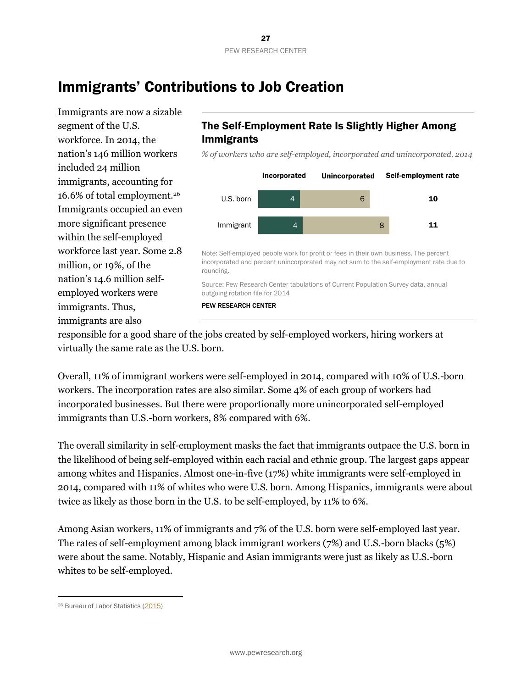# <span id="page-27-0"></span>Immigrants' Contributions to Job Creation

Immigrants are now a sizable segment of the U.S. workforce. In 2014, the nation's 146 million workers included 24 million immigrants, accounting for 16.6% of total employment.<sup>26</sup> Immigrants occupied an even more significant presence within the self-employed workforce last year. Some 2.8 million, or 19%, of the nation's 14.6 million selfemployed workers were immigrants. Thus, immigrants are also

## The Self-Employment Rate Is Slightly Higher Among Immigrants

*% of workers who are self-employed, incorporated and unincorporated, 2014*



Note: Self-employed people work for profit or fees in their own business. The percent incorporated and percent unincorporated may not sum to the self-employment rate due to rounding.

Source: Pew Research Center tabulations of Current Population Survey data, annual outgoing rotation file for 2014

PEW RESEARCH CENTER

responsible for a good share of the jobs created by self-employed workers, hiring workers at virtually the same rate as the U.S. born.

Overall, 11% of immigrant workers were self-employed in 2014, compared with 10% of U.S.-born workers. The incorporation rates are also similar. Some 4% of each group of workers had incorporated businesses. But there were proportionally more unincorporated self-employed immigrants than U.S.-born workers, 8% compared with 6%.

The overall similarity in self-employment masks the fact that immigrants outpace the U.S. born in the likelihood of being self-employed within each racial and ethnic group. The largest gaps appear among whites and Hispanics. Almost one-in-five (17%) white immigrants were self-employed in 2014, compared with 11% of whites who were U.S. born. Among Hispanics, immigrants were about twice as likely as those born in the U.S. to be self-employed, by 11% to 6%.

Among Asian workers, 11% of immigrants and 7% of the U.S. born were self-employed last year. The rates of self-employment among black immigrant workers (7%) and U.S.-born blacks (5%) were about the same. Notably, Hispanic and Asian immigrants were just as likely as U.S.-born whites to be self-employed.

l

<sup>26</sup> Bureau of Labor Statistics [\(2015\)](http://www.bls.gov/news.release/pdf/forbrn.pdf)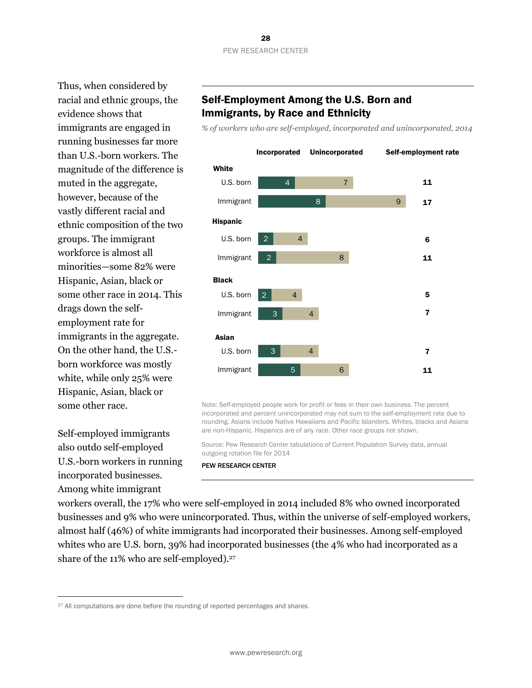Thus, when considered by racial and ethnic groups, the evidence shows that immigrants are engaged in running businesses far more than U.S.-born workers. The magnitude of the difference is muted in the aggregate, however, because of the vastly different racial and ethnic composition of the two groups. The immigrant workforce is almost all minorities—some 82% were Hispanic, Asian, black or some other race in 2014. This drags down the selfemployment rate for immigrants in the aggregate. On the other hand, the U.S. born workforce was mostly white, while only 25% were Hispanic, Asian, black or some other race.

Self-employed immigrants also outdo self-employed U.S.-born workers in running incorporated businesses. Among white immigrant

l

#### Self-Employment Among the U.S. Born and Immigrants, by Race and Ethnicity

*% of workers who are self-employed, incorporated and unincorporated, 2014*



Note: Self-employed people work for profit or fees in their own business. The percent incorporated and percent unincorporated may not sum to the self-employment rate due to rounding. Asians include Native Hawaiians and Pacific Islanders. Whites, blacks and Asians are non-Hispanic. Hispanics are of any race. Other race groups not shown.

Source: Pew Research Center tabulations of Current Population Survey data, annual outgoing rotation file for 2014

#### PEW RESEARCH CENTER

workers overall, the 17% who were self-employed in 2014 included 8% who owned incorporated businesses and 9% who were unincorporated. Thus, within the universe of self-employed workers, almost half (46%) of white immigrants had incorporated their businesses. Among self-employed whites who are U.S. born, 39% had incorporated businesses (the 4% who had incorporated as a share of the 11% who are self-employed). 27

<sup>&</sup>lt;sup>27</sup> All computations are done before the rounding of reported percentages and shares.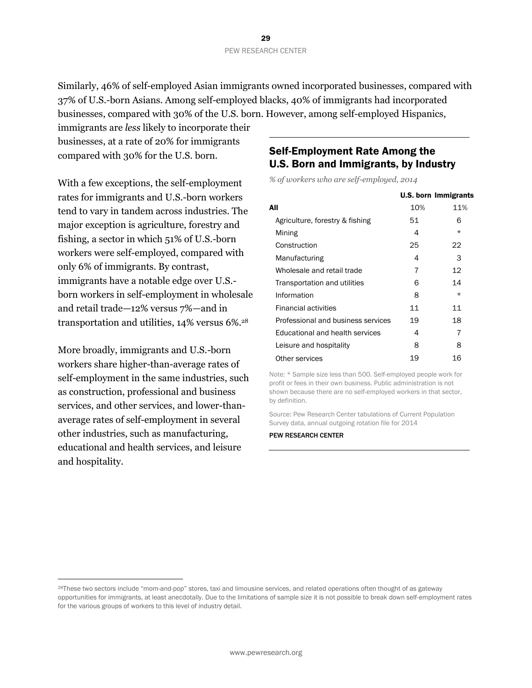Similarly, 46% of self-employed Asian immigrants owned incorporated businesses, compared with 37% of U.S.-born Asians. Among self-employed blacks, 40% of immigrants had incorporated businesses, compared with 30% of the U.S. born. However, among self-employed Hispanics,

immigrants are *less* likely to incorporate their businesses, at a rate of 20% for immigrants compared with 30% for the U.S. born.

With a few exceptions, the self-employment rates for immigrants and U.S.-born workers tend to vary in tandem across industries. The major exception is agriculture, forestry and fishing, a sector in which 51% of U.S.-born workers were self-employed, compared with only 6% of immigrants. By contrast, immigrants have a notable edge over U.S. born workers in self-employment in wholesale and retail trade—12% versus 7%—and in transportation and utilities, 14% versus 6%.<sup>28</sup>

More broadly, immigrants and U.S.-born workers share higher-than-average rates of self-employment in the same industries, such as construction, professional and business services, and other services, and lower-thanaverage rates of self-employment in several other industries, such as manufacturing, educational and health services, and leisure and hospitality.

 $\overline{a}$ 

## Self-Employment Rate Among the U.S. Born and Immigrants, by Industry

*% of workers who are self-employed, 2014*

|                                    |     | <b>U.S. born Immigrants</b> |
|------------------------------------|-----|-----------------------------|
| All                                | 10% | 11%                         |
| Agriculture, forestry & fishing    | 51  | 6                           |
| Mining                             | 4   | $\star$                     |
| Construction                       | 25  | 22                          |
| Manufacturing                      | 4   | 3                           |
| Wholesale and retail trade         | 7   | 12                          |
| Transportation and utilities       | 6   | 14                          |
| Information                        | 8   | $\star$                     |
| <b>Financial activities</b>        | 11  | 11                          |
| Professional and business services | 19  | 18                          |
| Educational and health services    | 4   | 7                           |
| Leisure and hospitality            | 8   | 8                           |
| Other services                     | 19  | 16                          |

Note: \* Sample size less than 500. Self-employed people work for profit or fees in their own business. Public administration is not shown because there are no self-employed workers in that sector, by definition.

Source: Pew Research Center tabulations of Current Population Survey data, annual outgoing rotation file for 2014

<sup>&</sup>lt;sup>28</sup>These two sectors include "mom-and-pop" stores, taxi and limousine services, and related operations often thought of as gateway opportunities for immigrants, at least anecdotally. Due to the limitations of sample size it is not possible to break down self-employment rates for the various groups of workers to this level of industry detail.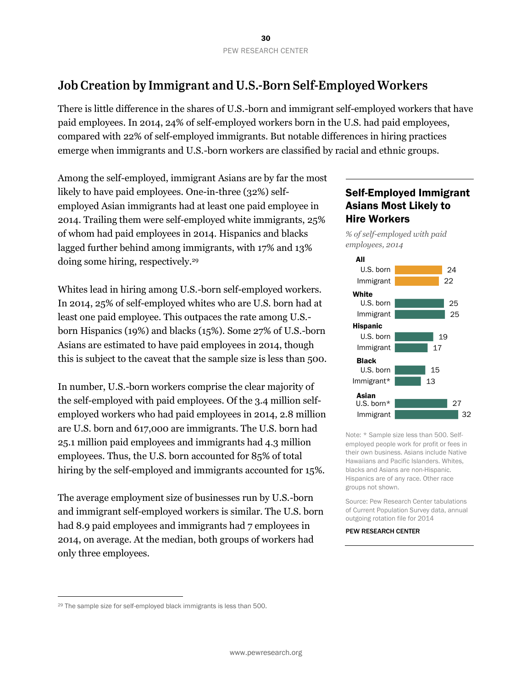# <span id="page-30-0"></span>Job Creation by Immigrant and U.S.-Born Self-Employed Workers

There is little difference in the shares of U.S.-born and immigrant self-employed workers that have paid employees. In 2014, 24% of self-employed workers born in the U.S. had paid employees, compared with 22% of self-employed immigrants. But notable differences in hiring practices emerge when immigrants and U.S.-born workers are classified by racial and ethnic groups.

Among the self-employed, immigrant Asians are by far the most likely to have paid employees. One-in-three (32%) selfemployed Asian immigrants had at least one paid employee in 2014. Trailing them were self-employed white immigrants, 25% of whom had paid employees in 2014. Hispanics and blacks lagged further behind among immigrants, with 17% and 13% doing some hiring, respectively.<sup>29</sup>

Whites lead in hiring among U.S.-born self-employed workers. In 2014, 25% of self-employed whites who are U.S. born had at least one paid employee. This outpaces the rate among U.S. born Hispanics (19%) and blacks (15%). Some 27% of U.S.-born Asians are estimated to have paid employees in 2014, though this is subject to the caveat that the sample size is less than 500.

In number, U.S.-born workers comprise the clear majority of the self-employed with paid employees. Of the 3.4 million selfemployed workers who had paid employees in 2014, 2.8 million are U.S. born and 617,000 are immigrants. The U.S. born had 25.1 million paid employees and immigrants had 4.3 million employees. Thus, the U.S. born accounted for 85% of total hiring by the self-employed and immigrants accounted for 15%.

The average employment size of businesses run by U.S.-born and immigrant self-employed workers is similar. The U.S. born had 8.9 paid employees and immigrants had 7 employees in 2014, on average. At the median, both groups of workers had only three employees.

## Self-Employed Immigrant Asians Most Likely to Hire Workers

*% of self-employed with paid employees, 2014* 



Note: \* Sample size less than 500. Selfemployed people work for profit or fees in their own business. Asians include Native Hawaiians and Pacific Islanders. Whites, blacks and Asians are non-Hispanic. Hispanics are of any race. Other race groups not shown.

Source: Pew Research Center tabulations of Current Population Survey data, annual outgoing rotation file for 2014

#### PEW RESEARCH CENTER

l

<sup>29</sup> The sample size for self-employed black immigrants is less than 500.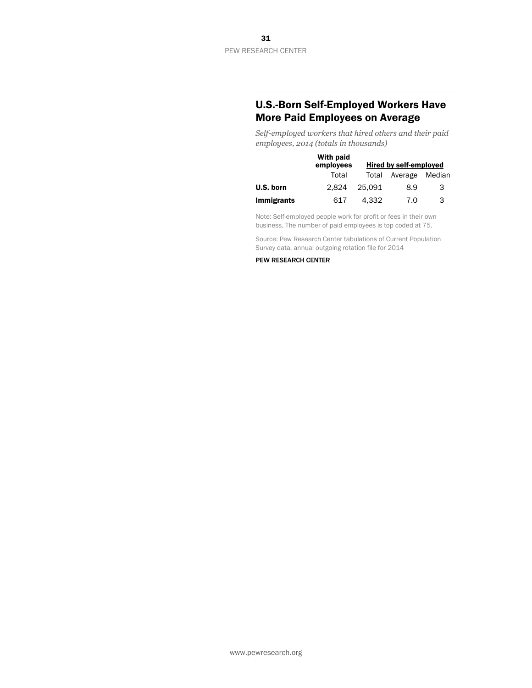## U.S.-Born Self-Employed Workers Have More Paid Employees on Average

*Self-employed workers that hired others and their paid employees, 2014 (totals in thousands)*

|                   | With paid<br>employees | Hired by self-employed |                |   |
|-------------------|------------------------|------------------------|----------------|---|
|                   | Total                  | Total                  | Average Median |   |
| U.S. born         | 2.824                  | 25.091                 | 8.9            | 3 |
| <b>Immigrants</b> | 617                    | 4.332                  | 7.0            | 3 |

Note: Self-employed people work for profit or fees in their own business. The number of paid employees is top coded at 75.

Source: Pew Research Center tabulations of Current Population Survey data, annual outgoing rotation file for 2014